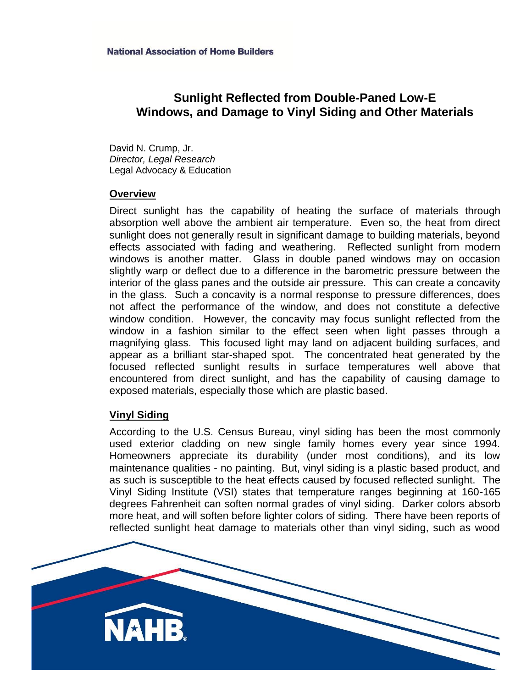# **Sunlight Reflected from Double-Paned Low-E Windows, and Damage to Vinyl Siding and Other Materials**

David N. Crump, Jr. *Director, Legal Research* Legal Advocacy & Education

### **Overview**

Direct sunlight has the capability of heating the surface of materials through absorption well above the ambient air temperature. Even so, the heat from direct sunlight does not generally result in significant damage to building materials, beyond effects associated with fading and weathering. Reflected sunlight from modern windows is another matter. Glass in double paned windows may on occasion slightly warp or deflect due to a difference in the barometric pressure between the interior of the glass panes and the outside air pressure. This can create a concavity in the glass. Such a concavity is a normal response to pressure differences, does not affect the performance of the window, and does not constitute a defective window condition. However, the concavity may focus sunlight reflected from the window in a fashion similar to the effect seen when light passes through a magnifying glass. This focused light may land on adjacent building surfaces, and appear as a brilliant star-shaped spot. The concentrated heat generated by the focused reflected sunlight results in surface temperatures well above that encountered from direct sunlight, and has the capability of causing damage to exposed materials, especially those which are plastic based.

### **Vinyl Siding**

According to the U.S. Census Bureau, vinyl siding has been the most commonly used exterior cladding on new single family homes every year since 1994. Homeowners appreciate its durability (under most conditions), and its low maintenance qualities - no painting. But, vinyl siding is a plastic based product, and as such is susceptible to the heat effects caused by focused reflected sunlight. The Vinyl Siding Institute (VSI) states that temperature ranges beginning at 160-165 degrees Fahrenheit can soften normal grades of vinyl siding. Darker colors absorb more heat, and will soften before lighter colors of siding. There have been reports of reflected sunlight heat damage to materials other than vinyl siding, such as wood

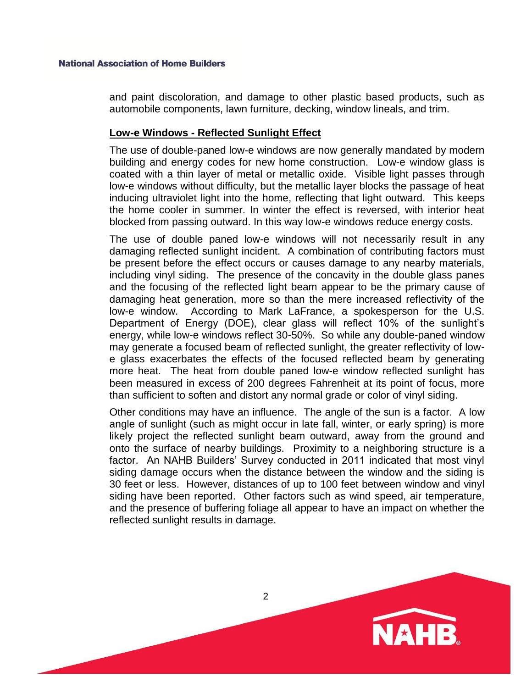and paint discoloration, and damage to other plastic based products, such as automobile components, lawn furniture, decking, window lineals, and trim.

### **Low-e Windows - Reflected Sunlight Effect**

The use of double-paned low-e windows are now generally mandated by modern building and energy codes for new home construction. Low-e window glass is coated with a thin layer of metal or metallic oxide. Visible light passes through low-e windows without difficulty, but the metallic layer blocks the passage of heat inducing ultraviolet light into the home, reflecting that light outward. This keeps the home cooler in summer. In winter the effect is reversed, with interior heat blocked from passing outward. In this way low-e windows reduce energy costs.

The use of double paned low-e windows will not necessarily result in any damaging reflected sunlight incident. A combination of contributing factors must be present before the effect occurs or causes damage to any nearby materials, including vinyl siding. The presence of the concavity in the double glass panes and the focusing of the reflected light beam appear to be the primary cause of damaging heat generation, more so than the mere increased reflectivity of the low-e window. According to Mark LaFrance, a spokesperson for the U.S. Department of Energy (DOE), clear glass will reflect 10% of the sunlight's energy, while low-e windows reflect 30-50%. So while any double-paned window may generate a focused beam of reflected sunlight, the greater reflectivity of lowe glass exacerbates the effects of the focused reflected beam by generating more heat. The heat from double paned low-e window reflected sunlight has been measured in excess of 200 degrees Fahrenheit at its point of focus, more than sufficient to soften and distort any normal grade or color of vinyl siding.

Other conditions may have an influence. The angle of the sun is a factor. A low angle of sunlight (such as might occur in late fall, winter, or early spring) is more likely project the reflected sunlight beam outward, away from the ground and onto the surface of nearby buildings. Proximity to a neighboring structure is a factor. An NAHB Builders' Survey conducted in 2011 indicated that most vinyl siding damage occurs when the distance between the window and the siding is 30 feet or less. However, distances of up to 100 feet between window and vinyl siding have been reported. Other factors such as wind speed, air temperature, and the presence of buffering foliage all appear to have an impact on whether the reflected sunlight results in damage.

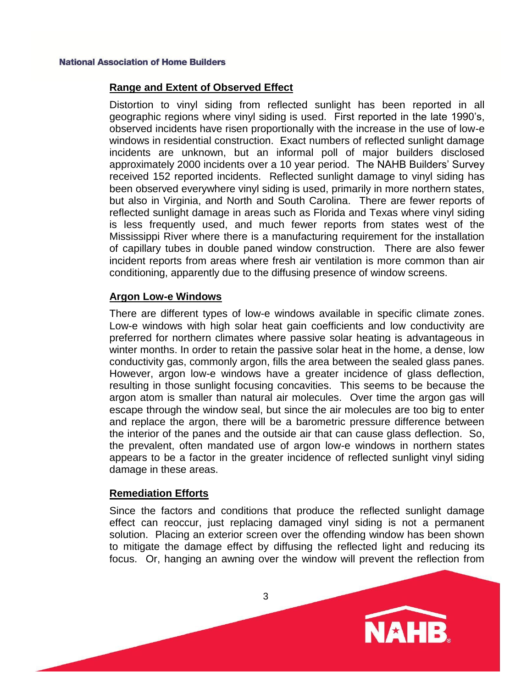# **Range and Extent of Observed Effect**

Distortion to vinyl siding from reflected sunlight has been reported in all geographic regions where vinyl siding is used. First reported in the late 1990's, observed incidents have risen proportionally with the increase in the use of low-e windows in residential construction. Exact numbers of reflected sunlight damage incidents are unknown, but an informal poll of major builders disclosed approximately 2000 incidents over a 10 year period. The NAHB Builders' Survey received 152 reported incidents. Reflected sunlight damage to vinyl siding has been observed everywhere vinyl siding is used, primarily in more northern states, but also in Virginia, and North and South Carolina. There are fewer reports of reflected sunlight damage in areas such as Florida and Texas where vinyl siding is less frequently used, and much fewer reports from states west of the Mississippi River where there is a manufacturing requirement for the installation of capillary tubes in double paned window construction. There are also fewer incident reports from areas where fresh air ventilation is more common than air conditioning, apparently due to the diffusing presence of window screens.

# **Argon Low-e Windows**

There are different types of low-e windows available in specific climate zones. Low-e windows with high solar heat gain coefficients and low conductivity are preferred for northern climates where passive solar heating is advantageous in winter months. In order to retain the passive solar heat in the home, a dense, low conductivity gas, commonly argon, fills the area between the sealed glass panes. However, argon low-e windows have a greater incidence of glass deflection, resulting in those sunlight focusing concavities. This seems to be because the argon atom is smaller than natural air molecules. Over time the argon gas will escape through the window seal, but since the air molecules are too big to enter and replace the argon, there will be a barometric pressure difference between the interior of the panes and the outside air that can cause glass deflection. So, the prevalent, often mandated use of argon low-e windows in northern states appears to be a factor in the greater incidence of reflected sunlight vinyl siding damage in these areas.

# **Remediation Efforts**

Since the factors and conditions that produce the reflected sunlight damage effect can reoccur, just replacing damaged vinyl siding is not a permanent solution. Placing an exterior screen over the offending window has been shown to mitigate the damage effect by diffusing the reflected light and reducing its focus. Or, hanging an awning over the window will prevent the reflection from

**NAHB**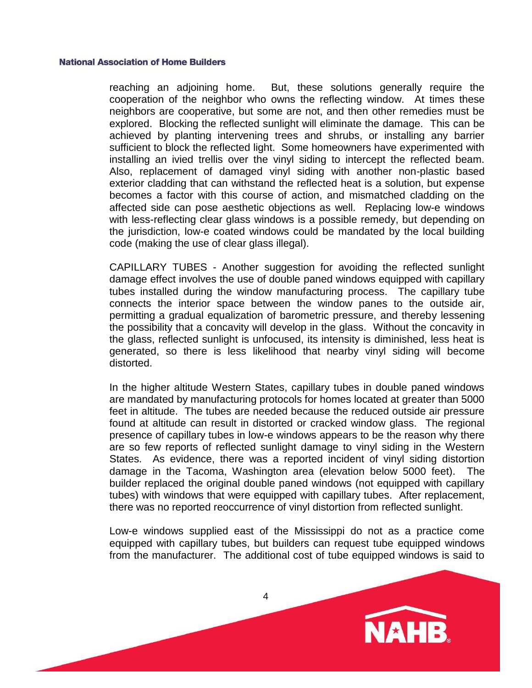reaching an adjoining home. But, these solutions generally require the cooperation of the neighbor who owns the reflecting window. At times these neighbors are cooperative, but some are not, and then other remedies must be explored. Blocking the reflected sunlight will eliminate the damage. This can be achieved by planting intervening trees and shrubs, or installing any barrier sufficient to block the reflected light. Some homeowners have experimented with installing an ivied trellis over the vinyl siding to intercept the reflected beam. Also, replacement of damaged vinyl siding with another non-plastic based exterior cladding that can withstand the reflected heat is a solution, but expense becomes a factor with this course of action, and mismatched cladding on the affected side can pose aesthetic objections as well. Replacing low-e windows with less-reflecting clear glass windows is a possible remedy, but depending on the jurisdiction, low-e coated windows could be mandated by the local building code (making the use of clear glass illegal).

CAPILLARY TUBES - Another suggestion for avoiding the reflected sunlight damage effect involves the use of double paned windows equipped with capillary tubes installed during the window manufacturing process. The capillary tube connects the interior space between the window panes to the outside air, permitting a gradual equalization of barometric pressure, and thereby lessening the possibility that a concavity will develop in the glass. Without the concavity in the glass, reflected sunlight is unfocused, its intensity is diminished, less heat is generated, so there is less likelihood that nearby vinyl siding will become distorted.

In the higher altitude Western States, capillary tubes in double paned windows are mandated by manufacturing protocols for homes located at greater than 5000 feet in altitude. The tubes are needed because the reduced outside air pressure found at altitude can result in distorted or cracked window glass. The regional presence of capillary tubes in low-e windows appears to be the reason why there are so few reports of reflected sunlight damage to vinyl siding in the Western States. As evidence, there was a reported incident of vinyl siding distortion damage in the Tacoma, Washington area (elevation below 5000 feet). The builder replaced the original double paned windows (not equipped with capillary tubes) with windows that were equipped with capillary tubes. After replacement, there was no reported reoccurrence of vinyl distortion from reflected sunlight.

Low-e windows supplied east of the Mississippi do not as a practice come equipped with capillary tubes, but builders can request tube equipped windows from the manufacturer. The additional cost of tube equipped windows is said to

**NAHB**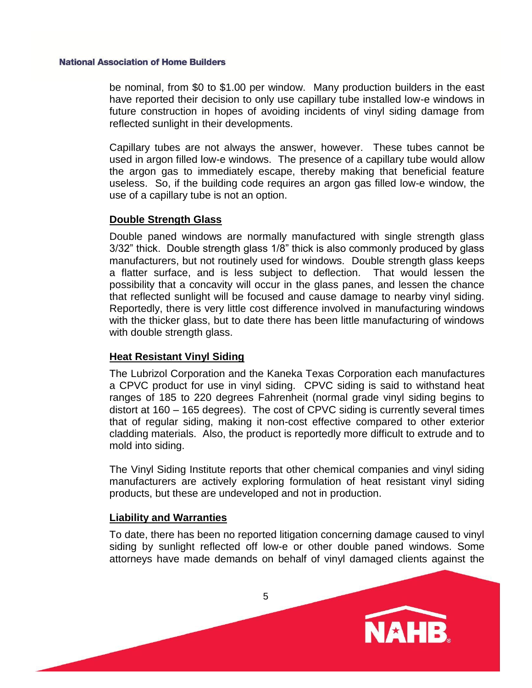be nominal, from \$0 to \$1.00 per window. Many production builders in the east have reported their decision to only use capillary tube installed low-e windows in future construction in hopes of avoiding incidents of vinyl siding damage from reflected sunlight in their developments.

Capillary tubes are not always the answer, however. These tubes cannot be used in argon filled low-e windows. The presence of a capillary tube would allow the argon gas to immediately escape, thereby making that beneficial feature useless. So, if the building code requires an argon gas filled low-e window, the use of a capillary tube is not an option.

### **Double Strength Glass**

Double paned windows are normally manufactured with single strength glass 3/32" thick. Double strength glass 1/8" thick is also commonly produced by glass manufacturers, but not routinely used for windows. Double strength glass keeps a flatter surface, and is less subject to deflection. That would lessen the possibility that a concavity will occur in the glass panes, and lessen the chance that reflected sunlight will be focused and cause damage to nearby vinyl siding. Reportedly, there is very little cost difference involved in manufacturing windows with the thicker glass, but to date there has been little manufacturing of windows with double strength glass.

# **Heat Resistant Vinyl Siding**

The Lubrizol Corporation and the Kaneka Texas Corporation each manufactures a CPVC product for use in vinyl siding. CPVC siding is said to withstand heat ranges of 185 to 220 degrees Fahrenheit (normal grade vinyl siding begins to distort at 160 – 165 degrees). The cost of CPVC siding is currently several times that of regular siding, making it non-cost effective compared to other exterior cladding materials. Also, the product is reportedly more difficult to extrude and to mold into siding.

The Vinyl Siding Institute reports that other chemical companies and vinyl siding manufacturers are actively exploring formulation of heat resistant vinyl siding products, but these are undeveloped and not in production.

# **Liability and Warranties**

To date, there has been no reported litigation concerning damage caused to vinyl siding by sunlight reflected off low-e or other double paned windows. Some attorneys have made demands on behalf of vinyl damaged clients against the

**NAHB**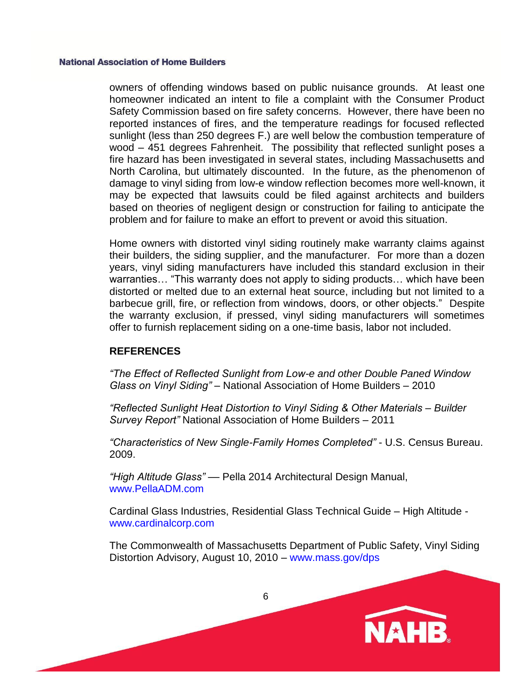owners of offending windows based on public nuisance grounds. At least one homeowner indicated an intent to file a complaint with the Consumer Product Safety Commission based on fire safety concerns. However, there have been no reported instances of fires, and the temperature readings for focused reflected sunlight (less than 250 degrees F.) are well below the combustion temperature of wood – 451 degrees Fahrenheit. The possibility that reflected sunlight poses a fire hazard has been investigated in several states, including Massachusetts and North Carolina, but ultimately discounted. In the future, as the phenomenon of damage to vinyl siding from low-e window reflection becomes more well-known, it may be expected that lawsuits could be filed against architects and builders based on theories of negligent design or construction for failing to anticipate the problem and for failure to make an effort to prevent or avoid this situation.

Home owners with distorted vinyl siding routinely make warranty claims against their builders, the siding supplier, and the manufacturer. For more than a dozen years, vinyl siding manufacturers have included this standard exclusion in their warranties… "This warranty does not apply to siding products… which have been distorted or melted due to an external heat source, including but not limited to a barbecue grill, fire, or reflection from windows, doors, or other objects." Despite the warranty exclusion, if pressed, vinyl siding manufacturers will sometimes offer to furnish replacement siding on a one-time basis, labor not included.

### **REFERENCES**

*"The Effect of Reflected Sunlight from Low-e and other Double Paned Window Glass on Vinyl Siding"* – National Association of Home Builders – 2010

*"Reflected Sunlight Heat Distortion to Vinyl Siding & Other Materials – Builder Survey Report"* National Association of Home Builders – 2011

*"Characteristics of New Single-Family Homes Completed"* - U.S. Census Bureau. 2009.

*"High Altitude Glass"* –– Pella 2014 Architectural Design Manual, www.PellaADM.com

Cardinal Glass Industries, Residential Glass Technical Guide – High Altitude www.cardinalcorp.com

The Commonwealth of Massachusetts Department of Public Safety, Vinyl Siding Distortion Advisory, August 10, 2010 – www.mass.gov/dps

**NAHB**